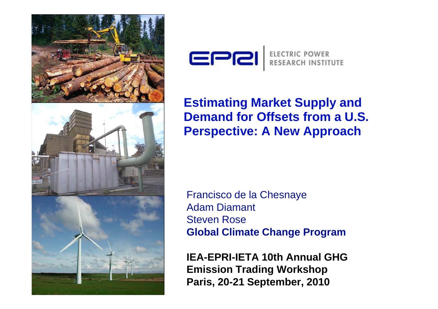



#### **Estimating Market Supply and Demand for Offsets from a U.S. Perspective: A New Approach**

Francisco de la Chesnaye Adam Diamant Steven Rose**Global Climate Change Program**

**IEA-EPRI-IETA 10th Annual GHG Emission Trading Workshop Paris, 20-21 September, 2010**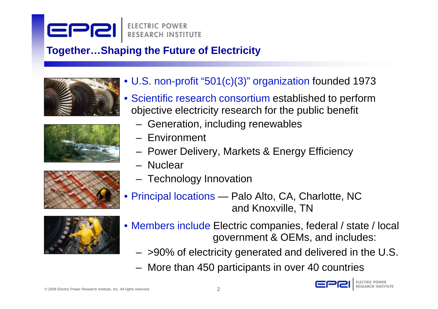# EPR

#### **Together…Shaping the Future of Electricity**









- U.S. non-profit "501(c)(3)" organization founded 1973
- Scientific research consortium established to perform objective electricity research for the public benefit
	- Generation, including renewables
	- Environment
	- Power Delivery, Markets & Energy Efficiency
	- Nuclear
	- Technology Innovation
- Principal locations Palo Alto, CA, Charlotte, NC and Knoxville, TN
- Members include Electric companies, federal / state / local government & OEMs, and includes:
	- >90% of electricity generated and delivered in the U.S.
	- More than 450 participants in over 40 countries

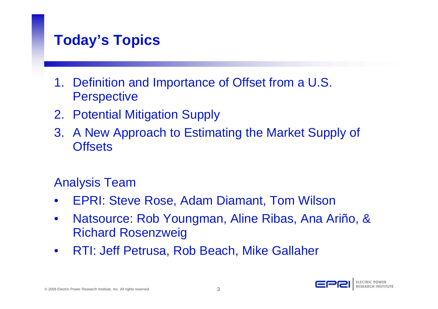#### **Today's Topics**

- 1. Definition and Importance of Offset from a U.S. **Perspective**
- 2. Potential Mitigation Supply
- 3. A New Approach to Estimating the Market Supply of **Offsets**

#### Analysis Team

- •EPRI: Steve Rose, Adam Diamant, Tom Wilson
- $\bullet$  Natsource: Rob Youngman, Aline Ribas, Ana Ariño, & Richard Rosenzweig
- $\bullet$ RTI: Jeff Petrusa, Rob Beach, Mike Gallaher

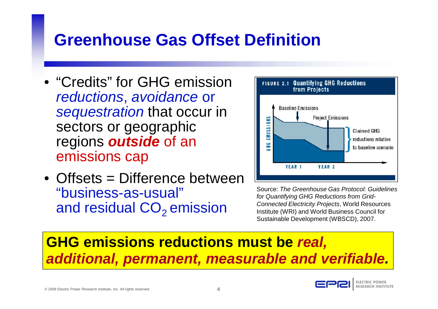### **Greenhouse Gas Offset Definition**

- "Credits" for GHG emissionreductions, avoidance or sequestration that occur in sectors or geographic regions **outside** of an emissions cap
- Offsets = Difference between "business-as-usual" and residual  $CO<sub>2</sub>$  emission



Source: The Greenhouse Gas Protocol: Guidelines for Quantifying GHG Reductions from Grid-Connected Electricity Projects, World Resources Institute (WRI) and World Business Council for Sustainable Development (WBSCD), 2007.

#### **GHG emissions reductions must be real, additional, permanent, measurable and verifiable .**

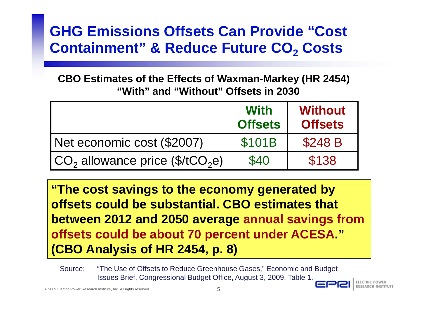#### **GHG Emissions Offsets Can Provide "Cost Containment" & Reduce Future CO 2 Costs**

**CBO Estimates of the Effects of Waxman-Markey (HR 2454) "With" and "Without" Offsets in 2030**

|                                                | <b>With</b><br><b>Offsets</b> | <b>Without</b><br><b>Offsets</b> |
|------------------------------------------------|-------------------------------|----------------------------------|
| Net economic cost (\$2007)                     | <b>\$101B</b>                 | \$248 B                          |
| $ CO2$ allowance price (\$/tCO <sub>2</sub> e) | \$40                          | \$138                            |

 $20_2$  allowance price (\$/tCO<sub>2</sub>e) | \$40 | \$138<br>
The cost savings to the economy generated by<br>
ffsets could be substantial. CBO estimates that<br>
etween 2012 and 2050 average annual savings f<br>
ffsets could be about 70 perce **"The cost savings to the economy generated by offsets could be substantial. CBO estimates that between 2012 and 2050 average annual savings from offsets could be about 70 percent under ACESA." (CBO Analysis of HR 2454, p. 8)**

Issues Brief, Congressional Budget Office, August 3, 2009, Table 1.

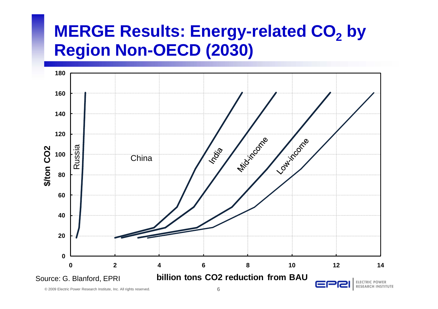# **MERGE Results: Energy-related CO 2 by Region Non-OECD (2030)**

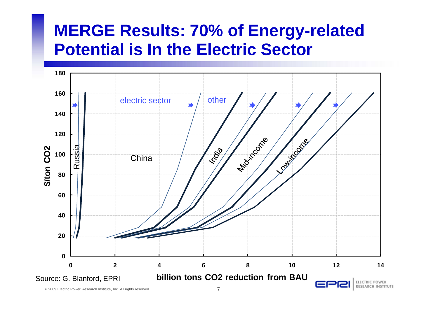## **MERGE Results: 70% of Energy-related Potential is In the Electric Sector**

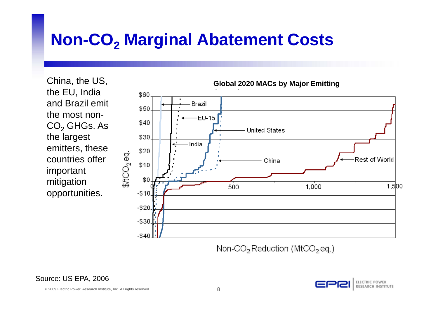# **Non-CO2 Marginal Abatement Costs**

China, the US, the EU, India and Brazil emit the most non- $\mathsf{CO}_2$  GHGs. As the largest emitters, these countries offer important mitigation opportunities.



Non-CO<sub>2</sub> Reduction (MtCO<sub>2</sub> eq.)

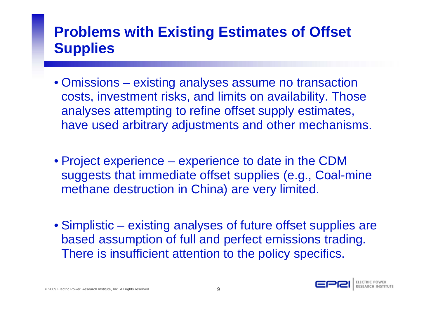#### **Problems with Existing Estimates of Offset Supplies**

- Omissions existing analyses assume no transaction costs, investment risks, and limits on availability. Those analyses attempting to refine offset supply estimates, have used arbitrary adjustments and other mechanisms.
- Project experience **Hart Committee** - experience to date in the CDM suggests that immediate offset supplies (e.g., Coal-mine methane destruction in China) are very limited.
- Simplistic existing analyses of future offset supplies are based assumption of full and perfect emissions trading. There is insufficient attention to the policy specifics.



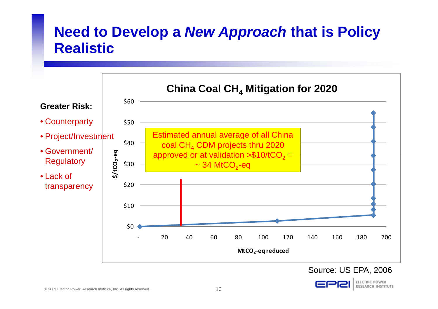#### **Need to Develop a New Approach that is Policy Realistic**



#### Source: US EPA, 2006

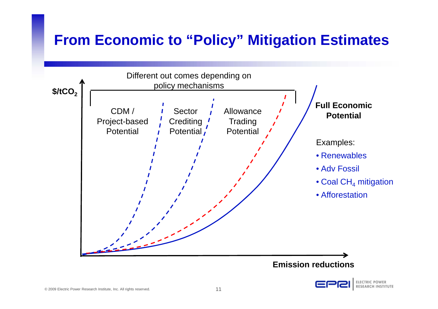#### **From Economic to "Policy" Mitigation Estimates**



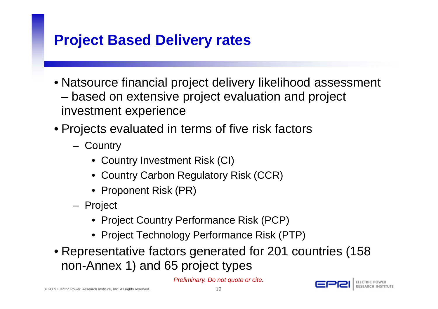#### **Project Based Delivery rates**

- Natsource financial project delivery likelihood assessment based on extensive project evaluation and project investment experience
- Projects evaluated in terms of five risk factors
	- **Country** 
		- Country Investment Risk (CI)
		- Country Carbon Regulatory Risk (CCR)
		- Proponent Risk (PR)
	- Project
		- Project Country Performance Risk (PCP)
		- Project Technology Performance Risk (PTP)
- Representative factors generated for 201 countries (158 non-Annex 1) and 65 project types

Preliminary. Do not quote or cite.

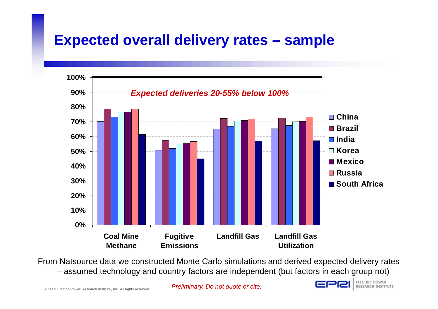#### **Expected overall delivery rates – sample**



From Natsource data we constructed Monte Carlo simulations and derived expected delivery rates – assumed technology and country factors are independent (but factors in each group not)

Preliminary. Do not quote or cite.

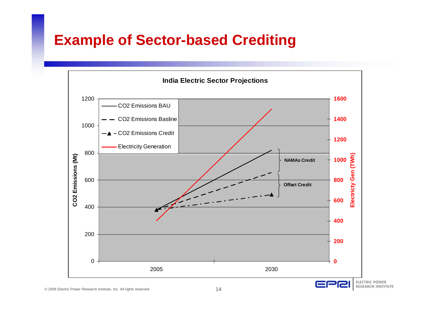#### **Example of Sector-based Crediting**

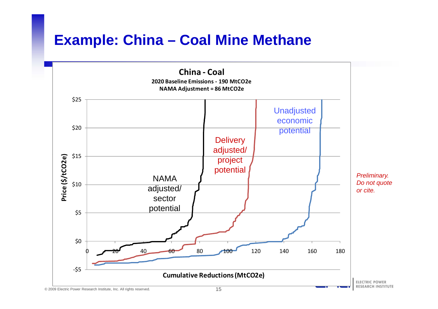#### **Example: China – Coal Mine Methane**

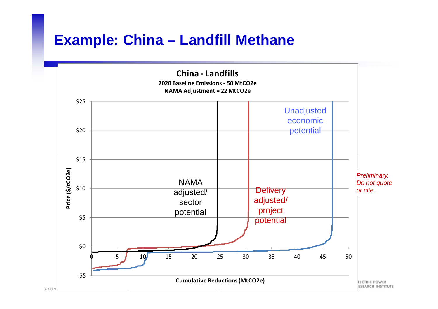#### **Example: China – Landfill Methane**

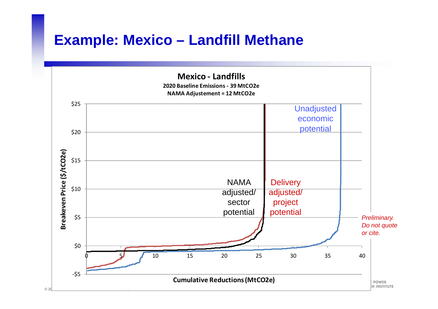#### **Example: Mexico – Landfill Methane**